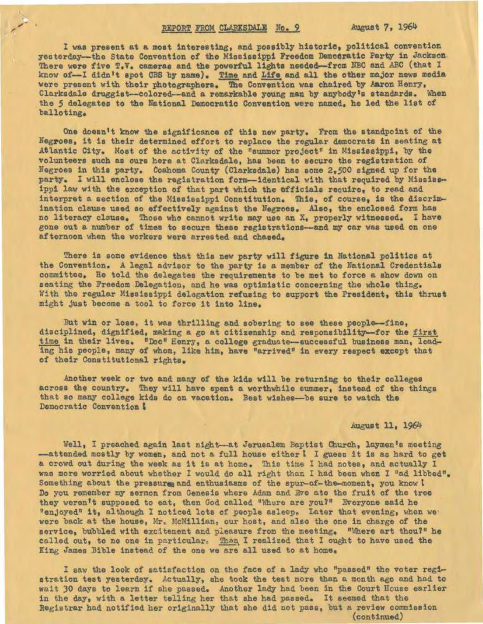## REPORT FROM CLARKSDALE No. 9

August 7, 1964

I was present at a most interesting, and possibly historic, political convention yesterday-the State Convention of the Mississippi Freedom Democratic Party in Jackson. There were five T.V. cameras and the powerful lights needed-from NBC and ABC (that I know of-I didn't spot CBS by name). Time and Life and all the other major news media<br>were present with their photographers. The Convention was chaired by Aaron Henry. Clarksdale druggist--colored--and a remarkable young man by anybody's standards. When the 5 delegates to the National Democratic Convention were named, he led the list of balloting.

One doesn't know the significance of this new party. From the standpoint of the Negroes, it is their determined effort to replace the regular democrats in seating at Atlantic City. Most of the activity of the "summer project" in Mississippi, by the volunteers such as ours here at Clarksdale, has been to secure the registration of Negroes in this party. Coahoma County (Clarkedale) has some 2,500 signed up for the party. I will enclose the registration form--identical with that required by Mississippi law with the exception of that part which the officials require, to read and interpret a section of the Mississippi Constitution. This, of course, is the discrimination clause used so effectively against the Negroes. Also, the enclosed form has no literacy clause. Those who cannot write may use an X, properly witnessed. I have gone out a number of times to secure these registrations-and my car was used on one afternoon when the workers were arrested and chased.

There is some evidence that this new party will figure in National politics at the Convention. A legal advisor to the party is a member of the National Credentials committee. He told the delegates the requirements to be met to force a show down on seating the Freedom Delegation, and he was optimistic concerning the whole thing. With the regular Mississippi delegation refusing to support the President, this thrust might just become a tool to force it into line.

But win or lose, it was thrilling and sobering to see these people--fine, disciplined, dignified, making a go at citizenship and responsibility-for the first time in their lives. "Doc" Henry, a college graduate-successful business man, leading his people, many of whom, like him, have "arrived" in every respect except that of their Constitutional rights.

Another week or two and many of the kids will be returning to their colleges across the country. They will have spent a worthwhile summer, instead of the things that so many college kids do on vacation. Best wishes-be sure to watch the Democratic Convention !

## August 11, 1964

Well, I preached again last night-at Jerusalem Baptist Church, laymen's meeting -attended mostly by women, and not a full house either I I guess it is as hard to get a crowd out during the week as it is at home. This time I had notes, and actually I was more worried about whether I would do all right than I had been when I "ad libbed". Something about the pressurm and enthusiasms of the spur-of-the-moment, you know I Do you remember my sermon from Genesis where Adam and Eve ate the fruit of the tree they weren't supposed to eat, then God called "Where are you?" Everyone said he "enjoyed" it, although I noticed lots of people asleep. Later that evening, when we' were back at the house, Mr. McMillian, our host, and also the one in charge of the service, bubbled with excitement and pleasure from the meeting. "Where art thou?" he called out, to no one in particular. Than I realized that I ought to have used the King James Bible instead of the one we are all used to at home.

I saw the look of satisfaction on the face of a lady who "passed" the voter registration test yesterday. Actually, she took the test more than a month ago and had to wait 30 days to learn if she passed. Another lady had been in the Court House earlier in the day, with a letter telling her that she had passed. It seemed that the Registrar had notified her originally that she did not pass, but a review commission (continued)